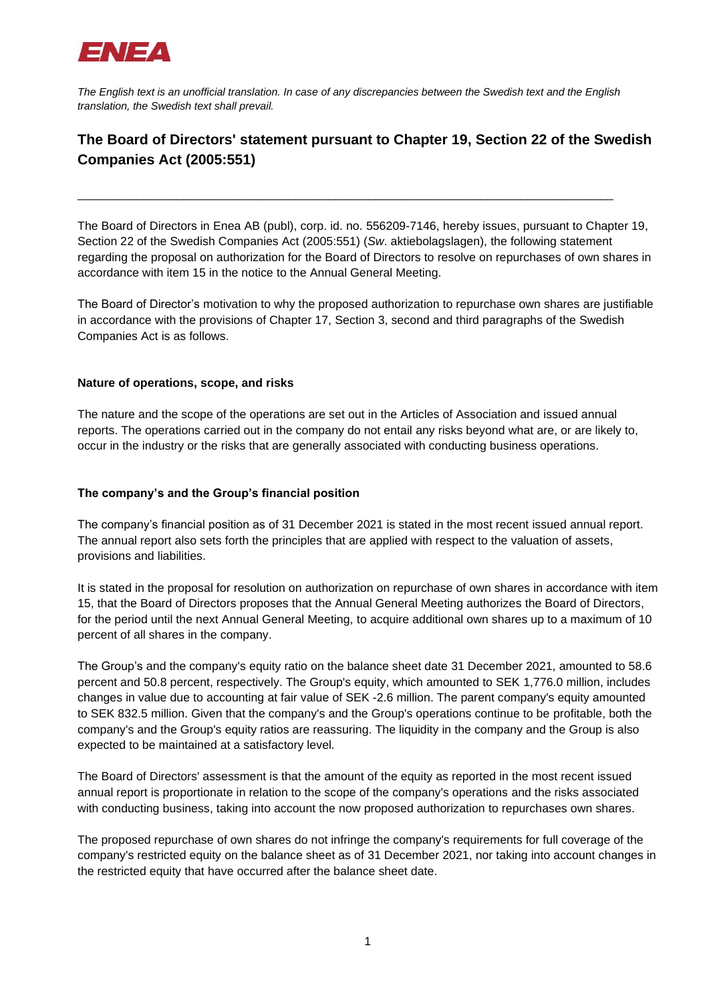

*The English text is an unofficial translation. In case of any discrepancies between the Swedish text and the English translation, the Swedish text shall prevail.*

\_\_\_\_\_\_\_\_\_\_\_\_\_\_\_\_\_\_\_\_\_\_\_\_\_\_\_\_\_\_\_\_\_\_\_\_\_\_\_\_\_\_\_\_\_\_\_\_\_\_\_\_\_\_\_\_\_\_\_\_\_\_\_\_\_\_\_\_\_\_\_\_\_\_\_\_\_\_\_\_\_

## **The Board of Directors' statement pursuant to Chapter 19, Section 22 of the Swedish Companies Act (2005:551)**

The Board of Directors in Enea AB (publ), corp. id. no. 556209-7146, hereby issues, pursuant to Chapter 19, Section 22 of the Swedish Companies Act (2005:551) (*Sw*. aktiebolagslagen), the following statement regarding the proposal on authorization for the Board of Directors to resolve on repurchases of own shares in accordance with item 15 in the notice to the Annual General Meeting.

The Board of Director's motivation to why the proposed authorization to repurchase own shares are justifiable in accordance with the provisions of Chapter 17, Section 3, second and third paragraphs of the Swedish Companies Act is as follows.

## **Nature of operations, scope, and risks**

The nature and the scope of the operations are set out in the Articles of Association and issued annual reports. The operations carried out in the company do not entail any risks beyond what are, or are likely to, occur in the industry or the risks that are generally associated with conducting business operations.

## **The company's and the Group's financial position**

The company's financial position as of 31 December 2021 is stated in the most recent issued annual report. The annual report also sets forth the principles that are applied with respect to the valuation of assets, provisions and liabilities.

It is stated in the proposal for resolution on authorization on repurchase of own shares in accordance with item 15, that the Board of Directors proposes that the Annual General Meeting authorizes the Board of Directors, for the period until the next Annual General Meeting, to acquire additional own shares up to a maximum of 10 percent of all shares in the company.

The Group's and the company's equity ratio on the balance sheet date 31 December 2021, amounted to 58.6 percent and 50.8 percent, respectively. The Group's equity, which amounted to SEK 1,776.0 million, includes changes in value due to accounting at fair value of SEK -2.6 million. The parent company's equity amounted to SEK 832.5 million. Given that the company's and the Group's operations continue to be profitable, both the company's and the Group's equity ratios are reassuring. The liquidity in the company and the Group is also expected to be maintained at a satisfactory level.

The Board of Directors' assessment is that the amount of the equity as reported in the most recent issued annual report is proportionate in relation to the scope of the company's operations and the risks associated with conducting business, taking into account the now proposed authorization to repurchases own shares.

The proposed repurchase of own shares do not infringe the company's requirements for full coverage of the company's restricted equity on the balance sheet as of 31 December 2021, nor taking into account changes in the restricted equity that have occurred after the balance sheet date.